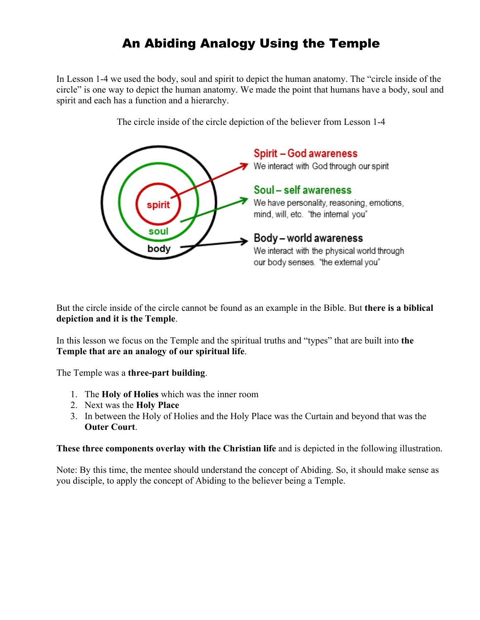# An Abiding Analogy Using the Temple

In Lesson 1-4 we used the body, soul and spirit to depict the human anatomy. The "circle inside of the circle" is one way to depict the human anatomy. We made the point that humans have a body, soul and spirit and each has a function and a hierarchy.



The circle inside of the circle depiction of the believer from Lesson 1-4

But the circle inside of the circle cannot be found as an example in the Bible. But **there is a biblical depiction and it is the Temple**.

In this lesson we focus on the Temple and the spiritual truths and "types" that are built into **the Temple that are an analogy of our spiritual life**.

The Temple was a **three-part building**.

- 1. The **Holy of Holies** which was the inner room
- 2. Next was the **Holy Place**
- 3. In between the Holy of Holies and the Holy Place was the Curtain and beyond that was the **Outer Court**.

**These three components overlay with the Christian life** and is depicted in the following illustration.

Note: By this time, the mentee should understand the concept of Abiding. So, it should make sense as you disciple, to apply the concept of Abiding to the believer being a Temple.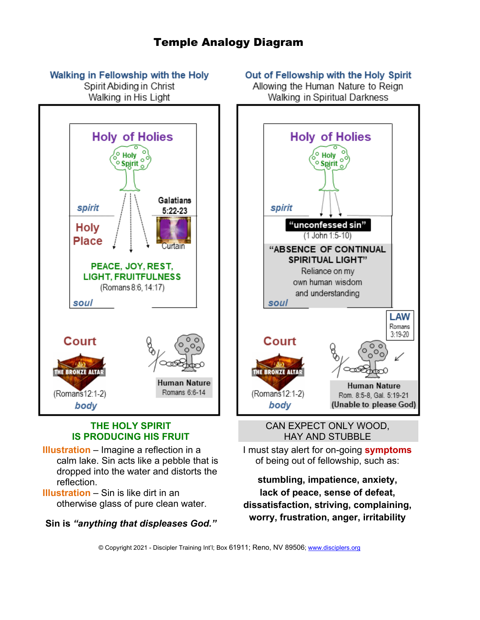# Temple Analogy Diagram

#### Walking in Fellowship with the Holy

Spirit Abiding in Christ Walking in His Light



#### **THE HOLY SPIRIT IS PRODUCING HIS FRUIT**

**Illustration** – Imagine a reflection in a calm lake. Sin acts like a pebble that is dropped into the water and distorts the reflection.

**Illustration** – Sin is like dirt in an otherwise glass of pure clean water.

**Sin is** *"anything that displeases God."*

#### Out of Fellowship with the Holy Spirit

Allowing the Human Nature to Reign Walking in Spiritual Darkness



CAN EXPECT ONLY WOOD, HAY AND STUBBLE

I must stay alert for on-going **symptoms** of being out of fellowship, such as:

**stumbling, impatience, anxiety, lack of peace, sense of defeat, dissatisfaction, striving, complaining, worry, frustration, anger, irritability**

© Copyright 2021 - Discipler Training Int'l; Box 61911; Reno, NV 89506; [www.disciplers.org](http://www.disciplers.org/)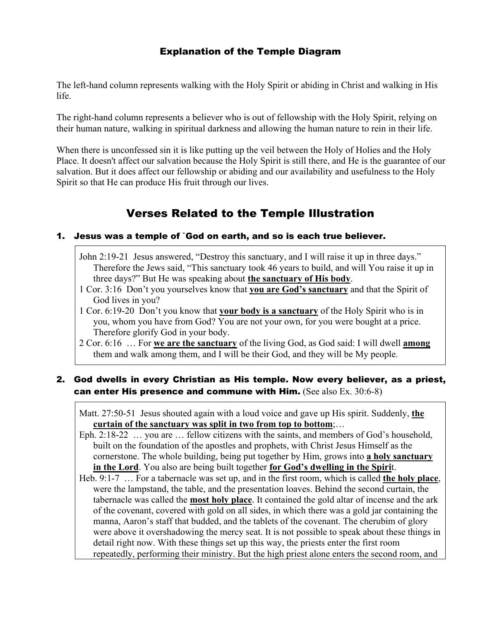### Explanation of the Temple Diagram

The left-hand column represents walking with the Holy Spirit or abiding in Christ and walking in His life.

The right-hand column represents a believer who is out of fellowship with the Holy Spirit, relying on their human nature, walking in spiritual darkness and allowing the human nature to rein in their life.

When there is unconfessed sin it is like putting up the veil between the Holy of Holies and the Holy Place. It doesn't affect our salvation because the Holy Spirit is still there, and He is the guarantee of our salvation. But it does affect our fellowship or abiding and our availability and usefulness to the Holy Spirit so that He can produce His fruit through our lives.

# Verses Related to the Temple Illustration

#### 1. Jesus was a temple of `God on earth, and so is each true believer.

- John 2:19-21 Jesus answered, "Destroy this sanctuary, and I will raise it up in three days." Therefore the Jews said, "This sanctuary took 46 years to build, and will You raise it up in three days?" But He was speaking about **the sanctuary of His body**.
- 1 Cor. 3:16 Don't you yourselves know that **you are God's sanctuary** and that the Spirit of God lives in you?
- 1 Cor. 6:19-20 Don't you know that **your body is a sanctuary** of the Holy Spirit who is in you, whom you have from God? You are not your own, for you were bought at a price. Therefore glorify God in your body.
- 2 Cor. 6:16 … For **we are the sanctuary** of the living God, as God said: I will dwell **among** them and walk among them, and I will be their God, and they will be My people.

#### 2. God dwells in every Christian as His temple. Now every believer, as a priest, can enter His presence and commune with Him. (See also  $Ex. 30:6-8$ )

Matt. 27:50-51 Jesus shouted again with a loud voice and gave up His spirit. Suddenly, **the curtain of the sanctuary was split in two from top to bottom**;…

- Eph. 2:18-22 … you are … fellow citizens with the saints, and members of God's household, built on the foundation of the apostles and prophets, with Christ Jesus Himself as the cornerstone. The whole building, being put together by Him, grows into **a holy sanctuary in the Lord**. You also are being built together **for God's dwelling in the Spiri**t.
- Heb. 9:1-7 … For a tabernacle was set up, and in the first room, which is called **the holy place**, were the lampstand, the table, and the presentation loaves. Behind the second curtain, the tabernacle was called the **most holy place**. It contained the gold altar of incense and the ark of the covenant, covered with gold on all sides, in which there was a gold jar containing the manna, Aaron's staff that budded, and the tablets of the covenant. The cherubim of glory were above it overshadowing the mercy seat. It is not possible to speak about these things in detail right now. With these things set up this way, the priests enter the first room repeatedly, performing their ministry. But the high priest alone enters the second room, and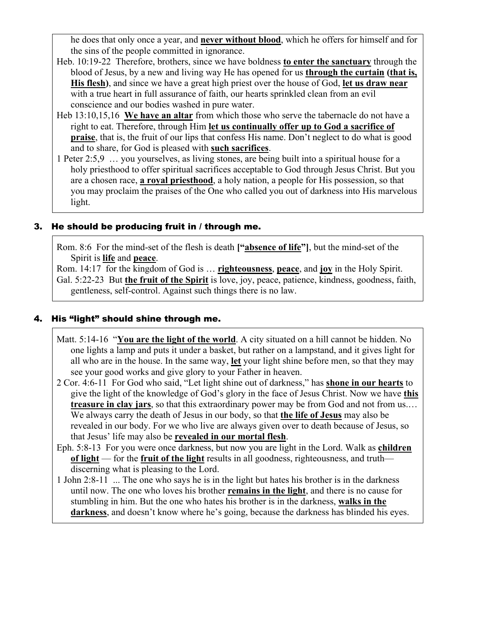he does that only once a year, and **never without blood**, which he offers for himself and for the sins of the people committed in ignorance.

- Heb. 10:19-22 Therefore, brothers, since we have boldness **to enter the sanctuary** through the blood of Jesus, by a new and living way He has opened for us **through the curtain (that is, His flesh)**, and since we have a great high priest over the house of God, **let us draw near** with a true heart in full assurance of faith, our hearts sprinkled clean from an evil conscience and our bodies washed in pure water.
- Heb 13:10,15,16 **We have an altar** from which those who serve the tabernacle do not have a right to eat. Therefore, through Him **let us continually offer up to God a sacrifice of praise**, that is, the fruit of our lips that confess His name. Don't neglect to do what is good and to share, for God is pleased with **such sacrifices**.
- 1 Peter 2:5,9 … you yourselves, as living stones, are being built into a spiritual house for a holy priesthood to offer spiritual sacrifices acceptable to God through Jesus Christ. But you are a chosen race, **a royal priesthood**, a holy nation, a people for His possession, so that you may proclaim the praises of the One who called you out of darkness into His marvelous light.

### 3. He should be producing fruit in / through me.

Rom. 8:6 For the mind-set of the flesh is death **["absence of life"]**, but the mind-set of the Spirit is **life** and **peace**.

Rom. 14:17 for the kingdom of God is … **righteousness**, **peace**, and **joy** in the Holy Spirit. Gal. 5:22-23 But **the fruit of the Spirit** is love, joy, peace, patience, kindness, goodness, faith, gentleness, self-control. Against such things there is no law.

#### 4. His "light" should shine through me.

- Matt. 5:14-16 "**You are the light of the world**. A city situated on a hill cannot be hidden. No one lights a lamp and puts it under a basket, but rather on a lampstand, and it gives light for all who are in the house. In the same way, **let** your light shine before men, so that they may see your good works and give glory to your Father in heaven.
- 2 Cor. 4:6-11 For God who said, "Let light shine out of darkness," has **shone in our hearts** to give the light of the knowledge of God's glory in the face of Jesus Christ. Now we have **this treasure in clay jars**, so that this extraordinary power may be from God and not from us.… We always carry the death of Jesus in our body, so that **the life of Jesus** may also be revealed in our body. For we who live are always given over to death because of Jesus, so that Jesus' life may also be **revealed in our mortal flesh**.
- Eph. 5:8-13 For you were once darkness, but now you are light in the Lord. Walk as **children of light** — for the **fruit of the light** results in all goodness, righteousness, and truth discerning what is pleasing to the Lord.
- 1 John 2:8-11 ... The one who says he is in the light but hates his brother is in the darkness until now. The one who loves his brother **remains in the light**, and there is no cause for stumbling in him. But the one who hates his brother is in the darkness, **walks in the darkness**, and doesn't know where he's going, because the darkness has blinded his eyes.